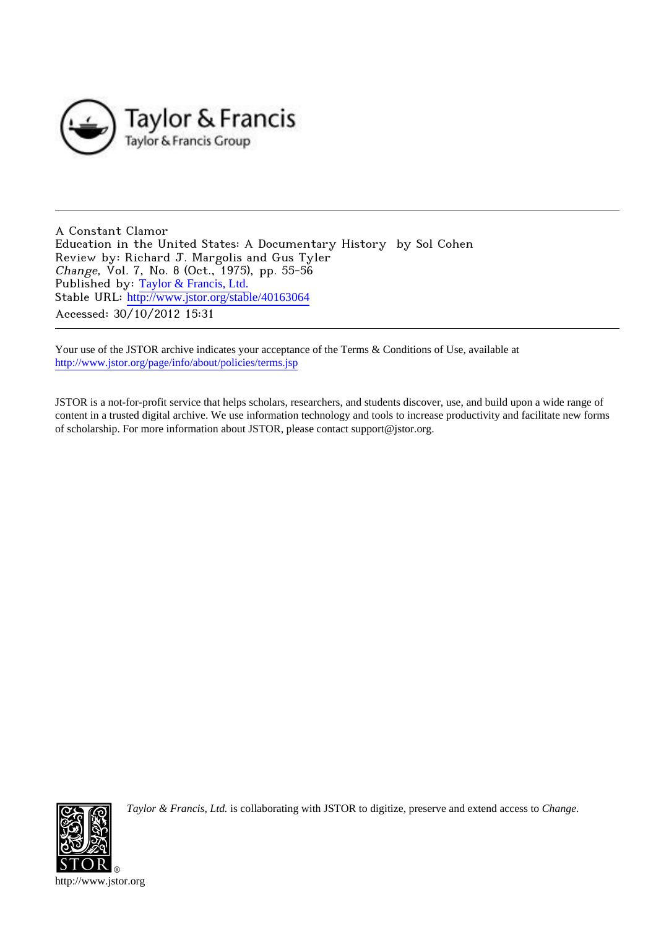

A Constant Clamor Education in the United States: A Documentary History by Sol Cohen Review by: Richard J. Margolis and Gus Tyler Change, Vol. 7, No. 8 (Oct., 1975), pp. 55-56 Published by: [Taylor & Francis, Ltd.](http://www.jstor.org/action/showPublisher?publisherCode=taylorfrancis) Stable URL: http://www.jstor.org/stable/40163064 Accessed: 30/10/2012 15:31

Your use of the JSTOR archive indicates your acceptance of the Terms & Conditions of Use, available at <http://www.jstor.org/page/info/about/policies/terms.jsp>

JSTOR is a not-for-profit service that helps scholars, researchers, and students discover, use, and build upon a wide range of content in a trusted digital archive. We use information technology and tools to increase productivity and facilitate new forms of scholarship. For more information about JSTOR, please contact support@jstor.org.



*Taylor & Francis, Ltd.* is collaborating with JSTOR to digitize, preserve and extend access to *Change.*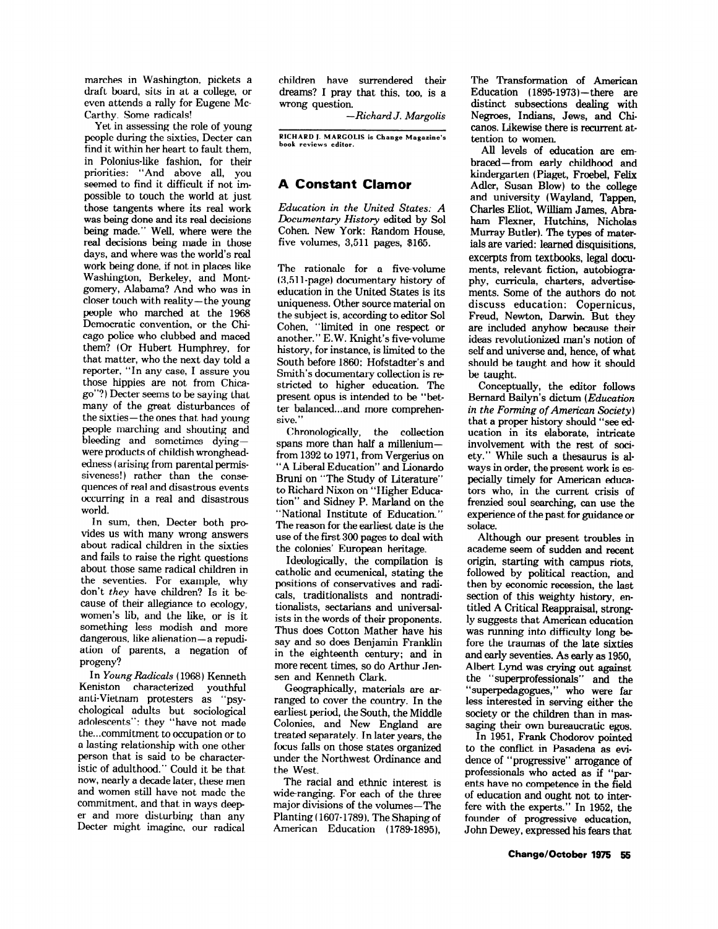**marches in Washington, pickets a draft board, sits in at a college, or even attends a rally for Eugene Mc-Carthy. Some radicals!** 

**Yet in assessing the role of young people during the sixties, Decter can find it within her heart to fault them, in Polonius-like fashion, for their priorities: "And above all, you seemed to find it difficult if not impossible to touch the world at just those tangents where its real work was being done and its real decisions being made." Well, where were the real decisions being made in those days, and where was the world's real work being done, if not in places like Washington, Berkeley, and Montgomery, Alabama? And who was in closer touch with reality- the young people who marched at the 1968 Democratic convention, or the Chicago police who clubbed and maced them? (Or Hubert Humphrey, for that matter, who the next day told a reporter, "In any case, I assure you those hippies are not from Chicago"?) Decter seems to be saying that many of the great disturbances of the sixties- the ones that had young people marching and shouting and bleeding and sometimes dyingwere products of childish wrongheadedness ( arising from parental permissiveness!) rather than the consequences of real and disastrous events occurring in a real and disastrous world.** 

**In sum, then, Decter both provides us with many wrong answers about radical children in the sixties and fails to raise the right questions about those same radical children in the seventies. For example, why don't they have children? Is it because of their allegiance to ecology, women's lib, and the like, or is it something less modish and more**  dangerous, like alienation-a repudi**ation of parents, a negation of progeny?** 

**In Young Radicals (1968) Kenneth Keniston characterized youthful anti- Vietnam protesters as "psychological adults but sociological adolescents": they "have not made the... commitment to occupation or to a lasting relationship with one other person that is said to be characteristic of adulthood." Could it be that now, nearly a decade later, these men and women still have not made the commitment, and that in ways deeper and more disturbing than any Decter might imagine, our radical** 

**children have surrendered their dreams? I pray that this, too, is a wrong question.** 

**- Richard J. Margolis** 

**RICHARD J. MARGOLIS is Change Magazine's book reviews editor.** 

## **A Constant Clamor**

**Education in the United States: A Documentary History edited by Sol Cohen. New York: Random House, five volumes, 3,511 pages, \$165.** 

**The rationale for a five-volume (3,511 -page) documentary history of education in the United States is its uniqueness. Other source material on the subject is, according to editor Sol Cohen, "limited in one respect or another." E.W. Knight's five- volume history, for instance, is limited to the South before 1860; Hofstadter's and Smith's documentary collection is restricted to higher education. The present opus is intended to be "better balanced... and more comprehensive."** 

**Chronologically, the collection spans more than half a milleniumfrom 1392 to 1971, from Vergerius on "A Liberal Education" and Lionardo Bruni on "The Study of Literature" to Richard Nixon on "Higher Education" and Sidney P. Marland on the "National Institute of Education." The reason for the earliest date is the use of the first 300 pages to deal with the colonies' European heritage.** 

**Ideologically, the compilation is catholic and ecumenical, stating the positions of conservatives and radicals, traditionalists and nontraditionalists, sectarians and universalists in the words of their proponents. Thus does Cotton Mather have his say and so does Benjamin Franklin in the eighteenth century; and in more recent times, so do Arthur Jensen and Kenneth Clark.** 

**Geographically, materials are arranged to cover the country. In the earliest period, the South, the Middle Colonies, and New England are treated separately. In later years, the focus falls on those states organized under the Northwest Ordinance and the West.** 

**The racial and ethnic interest is wide-ranging. For each of the three major divisions of the volumes- The Planting ( 1607-1789), The Shaping of American Education (1789-1895),** 

**The Transformation of American Education (1895-1973)- there are distinct subsections dealing with Negroes, Indians, Jews, and Chicanos. Likewise there is recurrent attention to women.** 

**All levels of education are embraced-from early childhood and kindergarten (Piaget, Froebel, Felix Adler, Susan Blow) to the college and university (Wayland, Tappen, Charles Eliot, William James, Abraham Flexner, Hutchins, Nicholas Murray Butler). The types of materials are varied: learned disquisitions, excerpts from textbooks, legal documents, relevant fiction, autobiography, curricula, charters, advertisements. Some of the authors do not discuss education: Copernicus, Freud, Newton, Darwin. But they are included anyhow because their ideas revolutionized man's notion of self and universe and, hence, of what should be taught and how it should be taught.** 

**Conceptually, the editor follows Bernard Bailyn's dictum (Education in the Forming of American Society) that a proper history should "see education in its elaborate, intricate involvement with the rest of society." While such a thesaurus is always in order, the present work is especially timely for American educators who, in the current crisis of frenzied soul searching, can use the experience of the past for guidance or solace.** 

**Although our present troubles in academe seem of sudden and recent origin, starting with campus riots, followed by political reaction, and then by economic recession, the last section of this weighty history, entitled A Critical Reappraisal, strongly suggests that American education was running into difficulty long before the traumas of the late sixties and early seventies. As early as 1950, Albert Lynd was crying out against the "superprofessionals" and the "superpedagogues," who were far less interested in serving either the society or the children than in massaging their own bureaucratic egos.** 

**In 1951, Frank Chodorov pointed to the conflict in Pasadena as evidence of "progressive" arrogance of professionals who acted as if "parents have no competence in the field of education and ought not to interfere with the experts." In 1952, the founder of progressive education, John Dewey, expressed his fears that**